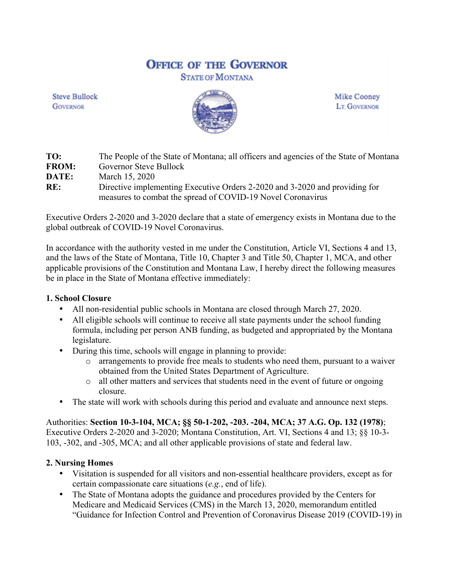# **OFFICE OF THE GOVERNOR**

**STATE OF MONTANA** 

**Steve Bullock GOVERNOR** 



**Mike Cooney LT. GOVERNOR** 

| TO:          | The People of the State of Montana; all officers and agencies of the State of Montana |
|--------------|---------------------------------------------------------------------------------------|
| <b>FROM:</b> | Governor Steve Bullock                                                                |
| <b>DATE:</b> | March 15, 2020                                                                        |
| RE:          | Directive implementing Executive Orders 2-2020 and 3-2020 and providing for           |
|              | measures to combat the spread of COVID-19 Novel Coronavirus                           |

Executive Orders 2-2020 and 3-2020 declare that a state of emergency exists in Montana due to the global outbreak of COVID-19 Novel Coronavirus.

In accordance with the authority vested in me under the Constitution, Article VI, Sections 4 and 13, and the laws of the State of Montana, Title 10, Chapter 3 and Title 50, Chapter 1, MCA, and other applicable provisions of the Constitution and Montana Law, I hereby direct the following measures be in place in the State of Montana effective immediately:

## **1. School Closure**

- All non-residential public schools in Montana are closed through March 27, 2020.
- All eligible schools will continue to receive all state payments under the school funding formula, including per person ANB funding, as budgeted and appropriated by the Montana legislature.
- During this time, schools will engage in planning to provide:
	- o arrangements to provide free meals to students who need them, pursuant to a waiver obtained from the United States Department of Agriculture.
	- o all other matters and services that students need in the event of future or ongoing closure.
- The state will work with schools during this period and evaluate and announce next steps.

Authorities: **Section 10-3-104, MCA; §§ 50-1-202, -203. -204, MCA; 37 A.G. Op. 132 (1978)**; Executive Orders 2-2020 and 3-2020; Montana Constitution, Art. VI, Sections 4 and 13; §§ 10-3- 103, -302, and -305, MCA; and all other applicable provisions of state and federal law.

## **2. Nursing Homes**

- Visitation is suspended for all visitors and non-essential healthcare providers, except as for certain compassionate care situations (*e.g.*, end of life).
- The State of Montana adopts the guidance and procedures provided by the Centers for Medicare and Medicaid Services (CMS) in the March 13, 2020, memorandum entitled "Guidance for Infection Control and Prevention of Coronavirus Disease 2019 (COVID-19) in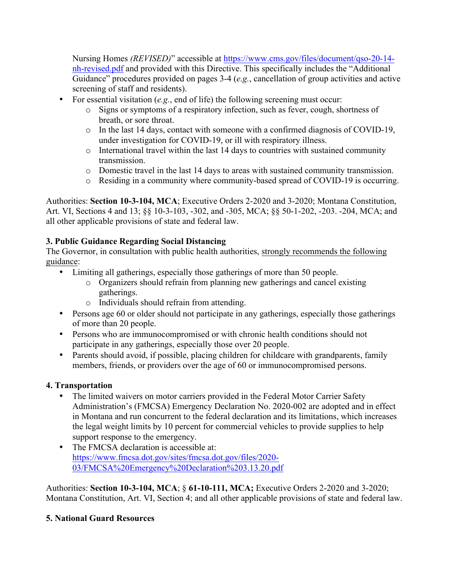Nursing Homes *(REVISED)*" accessible at https://www.cms.gov/files/document/qso-20-14 nh-revised.pdf and provided with this Directive. This specifically includes the "Additional Guidance" procedures provided on pages 3-4 (*e.g.*, cancellation of group activities and active screening of staff and residents).

- For essential visitation (*e.g.*, end of life) the following screening must occur:
	- o Signs or symptoms of a respiratory infection, such as fever, cough, shortness of breath, or sore throat.
	- o In the last 14 days, contact with someone with a confirmed diagnosis of COVID-19, under investigation for COVID-19, or ill with respiratory illness.
	- o International travel within the last 14 days to countries with sustained community transmission.
	- o Domestic travel in the last 14 days to areas with sustained community transmission.
	- o Residing in a community where community-based spread of COVID-19 is occurring.

Authorities: **Section 10-3-104, MCA**; Executive Orders 2-2020 and 3-2020; Montana Constitution, Art. VI, Sections 4 and 13; §§ 10-3-103, -302, and -305, MCA; §§ 50-1-202, -203. -204, MCA; and all other applicable provisions of state and federal law.

## **3. Public Guidance Regarding Social Distancing**

The Governor, in consultation with public health authorities, strongly recommends the following guidance:

- Limiting all gatherings, especially those gatherings of more than 50 people.
	- o Organizers should refrain from planning new gatherings and cancel existing gatherings.
	- o Individuals should refrain from attending.
- Persons age 60 or older should not participate in any gatherings, especially those gatherings of more than 20 people.
- Persons who are immunocompromised or with chronic health conditions should not participate in any gatherings, especially those over 20 people.
- Parents should avoid, if possible, placing children for childcare with grandparents, family members, friends, or providers over the age of 60 or immunocompromised persons.

# **4. Transportation**

- The limited waivers on motor carriers provided in the Federal Motor Carrier Safety Administration's (FMCSA) Emergency Declaration No. 2020-002 are adopted and in effect in Montana and run concurrent to the federal declaration and its limitations, which increases the legal weight limits by 10 percent for commercial vehicles to provide supplies to help support response to the emergency.
- The FMCSA declaration is accessible at: https://www.fmcsa.dot.gov/sites/fmcsa.dot.gov/files/2020- 03/FMCSA%20Emergency%20Declaration%203.13.20.pdf

Authorities: **Section 10-3-104, MCA**; § **61-10-111, MCA;** Executive Orders 2-2020 and 3-2020; Montana Constitution, Art. VI, Section 4; and all other applicable provisions of state and federal law.

# **5. National Guard Resources**